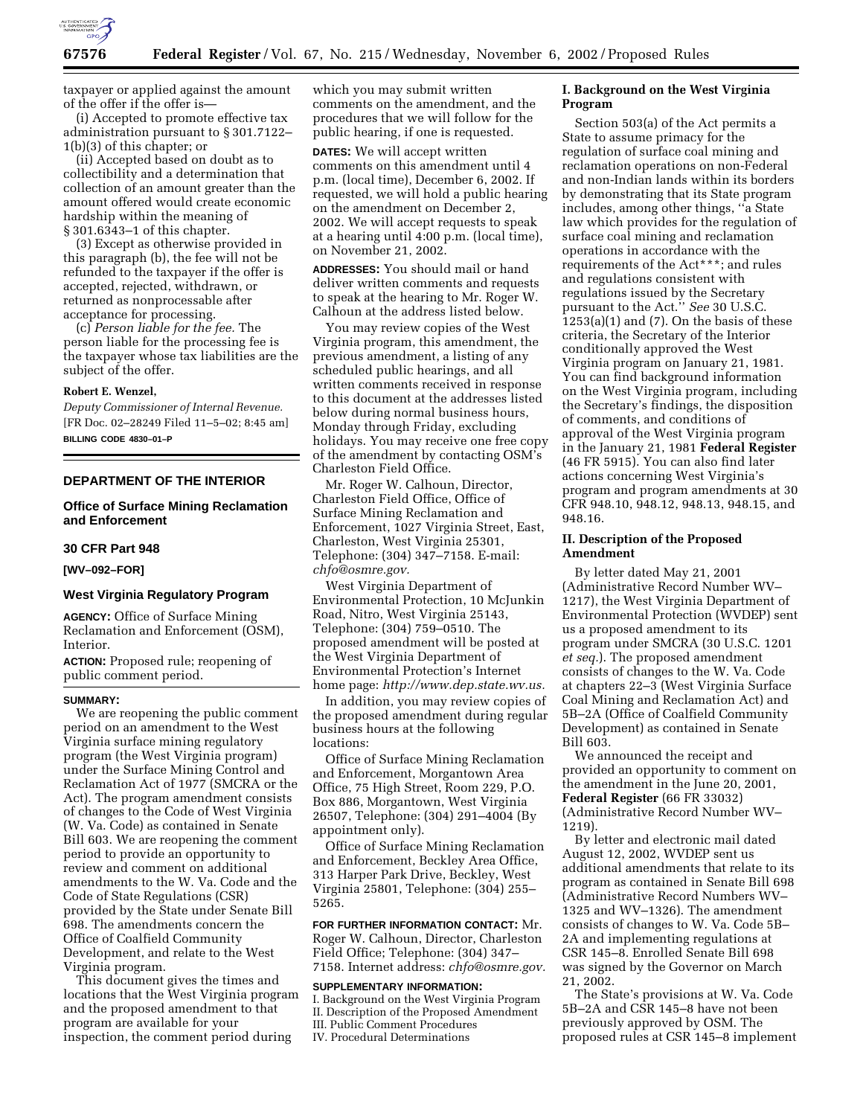

taxpayer or applied against the amount of the offer if the offer is—

(i) Accepted to promote effective tax administration pursuant to § 301.7122– 1(b)(3) of this chapter; or

(ii) Accepted based on doubt as to collectibility and a determination that collection of an amount greater than the amount offered would create economic hardship within the meaning of § 301.6343–1 of this chapter.

(3) Except as otherwise provided in this paragraph (b), the fee will not be refunded to the taxpayer if the offer is accepted, rejected, withdrawn, or returned as nonprocessable after acceptance for processing.

(c) *Person liable for the fee.* The person liable for the processing fee is the taxpayer whose tax liabilities are the subject of the offer.

### **Robert E. Wenzel,**

*Deputy Commissioner of Internal Revenue.* [FR Doc. 02–28249 Filed 11–5–02; 8:45 am] **BILLING CODE 4830–01–P**

## **DEPARTMENT OF THE INTERIOR**

# **Office of Surface Mining Reclamation and Enforcement**

## **30 CFR Part 948**

## **[WV–092–FOR]**

# **West Virginia Regulatory Program**

**AGENCY:** Office of Surface Mining Reclamation and Enforcement (OSM), Interior.

**ACTION:** Proposed rule; reopening of public comment period.

#### **SUMMARY:**

We are reopening the public comment period on an amendment to the West Virginia surface mining regulatory program (the West Virginia program) under the Surface Mining Control and Reclamation Act of 1977 (SMCRA or the Act). The program amendment consists of changes to the Code of West Virginia (W. Va. Code) as contained in Senate Bill 603. We are reopening the comment period to provide an opportunity to review and comment on additional amendments to the W. Va. Code and the Code of State Regulations (CSR) provided by the State under Senate Bill 698. The amendments concern the Office of Coalfield Community Development, and relate to the West Virginia program.

This document gives the times and locations that the West Virginia program and the proposed amendment to that program are available for your inspection, the comment period during

which you may submit written comments on the amendment, and the procedures that we will follow for the public hearing, if one is requested.

**DATES:** We will accept written comments on this amendment until 4 p.m. (local time), December 6, 2002. If requested, we will hold a public hearing on the amendment on December 2, 2002. We will accept requests to speak at a hearing until 4:00 p.m. (local time), on November 21, 2002.

**ADDRESSES:** You should mail or hand deliver written comments and requests to speak at the hearing to Mr. Roger W. Calhoun at the address listed below.

You may review copies of the West Virginia program, this amendment, the previous amendment, a listing of any scheduled public hearings, and all written comments received in response to this document at the addresses listed below during normal business hours, Monday through Friday, excluding holidays. You may receive one free copy of the amendment by contacting OSM's Charleston Field Office.

Mr. Roger W. Calhoun, Director, Charleston Field Office, Office of Surface Mining Reclamation and Enforcement, 1027 Virginia Street, East, Charleston, West Virginia 25301, Telephone: (304) 347–7158. E-mail: *chfo@osmre.gov.*

West Virginia Department of Environmental Protection, 10 McJunkin Road, Nitro, West Virginia 25143, Telephone: (304) 759–0510. The proposed amendment will be posted at the West Virginia Department of Environmental Protection's Internet home page: *http://www.dep.state.wv.us.*

In addition, you may review copies of the proposed amendment during regular business hours at the following locations:

Office of Surface Mining Reclamation and Enforcement, Morgantown Area Office, 75 High Street, Room 229, P.O. Box 886, Morgantown, West Virginia 26507, Telephone: (304) 291–4004 (By appointment only).

Office of Surface Mining Reclamation and Enforcement, Beckley Area Office, 313 Harper Park Drive, Beckley, West Virginia 25801, Telephone: (304) 255– 5265.

**FOR FURTHER INFORMATION CONTACT:** Mr. Roger W. Calhoun, Director, Charleston Field Office; Telephone: (304) 347– 7158. Internet address: *chfo@osmre.gov.*

#### **SUPPLEMENTARY INFORMATION:**

I. Background on the West Virginia Program II. Description of the Proposed Amendment III. Public Comment Procedures IV. Procedural Determinations

# **I. Background on the West Virginia Program**

Section 503(a) of the Act permits a State to assume primacy for the regulation of surface coal mining and reclamation operations on non-Federal and non-Indian lands within its borders by demonstrating that its State program includes, among other things, ''a State law which provides for the regulation of surface coal mining and reclamation operations in accordance with the requirements of the Act\*\*\*; and rules and regulations consistent with regulations issued by the Secretary pursuant to the Act.'' *See* 30 U.S.C.  $1253(a)(1)$  and  $(7)$ . On the basis of these criteria, the Secretary of the Interior conditionally approved the West Virginia program on January 21, 1981. You can find background information on the West Virginia program, including the Secretary's findings, the disposition of comments, and conditions of approval of the West Virginia program in the January 21, 1981 **Federal Register** (46 FR 5915). You can also find later actions concerning West Virginia's program and program amendments at 30 CFR 948.10, 948.12, 948.13, 948.15, and 948.16.

### **II. Description of the Proposed Amendment**

By letter dated May 21, 2001 (Administrative Record Number WV– 1217), the West Virginia Department of Environmental Protection (WVDEP) sent us a proposed amendment to its program under SMCRA (30 U.S.C. 1201 *et seq.*). The proposed amendment consists of changes to the W. Va. Code at chapters 22–3 (West Virginia Surface Coal Mining and Reclamation Act) and 5B–2A (Office of Coalfield Community Development) as contained in Senate Bill 603.

We announced the receipt and provided an opportunity to comment on the amendment in the June 20, 2001, **Federal Register** (66 FR 33032) (Administrative Record Number WV– 1219).

By letter and electronic mail dated August 12, 2002, WVDEP sent us additional amendments that relate to its program as contained in Senate Bill 698 (Administrative Record Numbers WV– 1325 and WV–1326). The amendment consists of changes to W. Va. Code 5B– 2A and implementing regulations at CSR 145–8. Enrolled Senate Bill 698 was signed by the Governor on March 21, 2002.

The State's provisions at W. Va. Code 5B–2A and CSR 145–8 have not been previously approved by OSM. The proposed rules at CSR 145–8 implement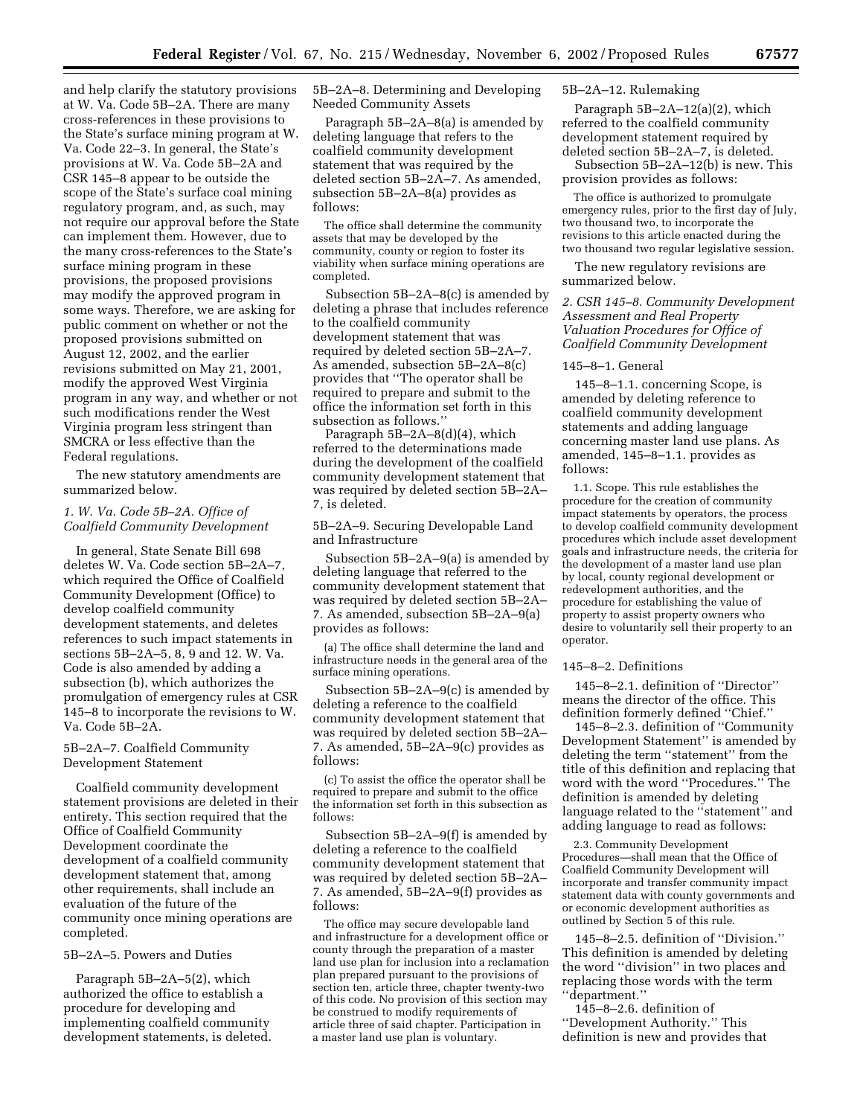and help clarify the statutory provisions at W. Va. Code 5B–2A. There are many cross-references in these provisions to the State's surface mining program at W. Va. Code 22–3. In general, the State's provisions at W. Va. Code 5B–2A and CSR 145–8 appear to be outside the scope of the State's surface coal mining regulatory program, and, as such, may not require our approval before the State can implement them. However, due to the many cross-references to the State's surface mining program in these provisions, the proposed provisions may modify the approved program in some ways. Therefore, we are asking for public comment on whether or not the proposed provisions submitted on August 12, 2002, and the earlier revisions submitted on May 21, 2001, modify the approved West Virginia program in any way, and whether or not such modifications render the West Virginia program less stringent than SMCRA or less effective than the Federal regulations.

The new statutory amendments are summarized below.

## *1. W. Va. Code 5B–2A. Office of Coalfield Community Development*

In general, State Senate Bill 698 deletes W. Va. Code section 5B–2A–7, which required the Office of Coalfield Community Development (Office) to develop coalfield community development statements, and deletes references to such impact statements in sections 5B–2A–5, 8, 9 and 12. W. Va. Code is also amended by adding a subsection (b), which authorizes the promulgation of emergency rules at CSR 145–8 to incorporate the revisions to W. Va. Code 5B–2A.

## 5B–2A–7. Coalfield Community Development Statement

Coalfield community development statement provisions are deleted in their entirety. This section required that the Office of Coalfield Community Development coordinate the development of a coalfield community development statement that, among other requirements, shall include an evaluation of the future of the community once mining operations are completed.

### 5B–2A–5. Powers and Duties

Paragraph 5B–2A–5(2), which authorized the office to establish a procedure for developing and implementing coalfield community development statements, is deleted. 5B–2A–8. Determining and Developing Needed Community Assets

Paragraph 5B–2A–8(a) is amended by deleting language that refers to the coalfield community development statement that was required by the deleted section 5B–2A–7. As amended, subsection 5B–2A–8(a) provides as follows:

The office shall determine the community assets that may be developed by the community, county or region to foster its viability when surface mining operations are completed.

Subsection 5B–2A–8(c) is amended by deleting a phrase that includes reference to the coalfield community development statement that was required by deleted section 5B–2A–7. As amended, subsection 5B–2A–8(c) provides that ''The operator shall be required to prepare and submit to the office the information set forth in this subsection as follows.''

Paragraph 5B–2A–8(d)(4), which referred to the determinations made during the development of the coalfield community development statement that was required by deleted section 5B–2A– 7, is deleted.

5B–2A–9. Securing Developable Land and Infrastructure

Subsection 5B–2A–9(a) is amended by deleting language that referred to the community development statement that was required by deleted section 5B–2A– 7. As amended, subsection 5B–2A–9(a) provides as follows:

(a) The office shall determine the land and infrastructure needs in the general area of the surface mining operations.

Subsection 5B–2A–9(c) is amended by deleting a reference to the coalfield community development statement that was required by deleted section 5B–2A– 7. As amended, 5B–2A–9(c) provides as follows:

(c) To assist the office the operator shall be required to prepare and submit to the office the information set forth in this subsection as follows:

Subsection 5B–2A–9(f) is amended by deleting a reference to the coalfield community development statement that was required by deleted section 5B–2A– 7. As amended, 5B–2A–9(f) provides as follows:

The office may secure developable land and infrastructure for a development office or county through the preparation of a master land use plan for inclusion into a reclamation plan prepared pursuant to the provisions of section ten, article three, chapter twenty-two of this code. No provision of this section may be construed to modify requirements of article three of said chapter. Participation in a master land use plan is voluntary.

### 5B–2A–12. Rulemaking

Paragraph 5B–2A–12(a)(2), which referred to the coalfield community development statement required by deleted section 5B–2A–7, is deleted.

Subsection 5B–2A–12(b) is new. This provision provides as follows:

The office is authorized to promulgate emergency rules, prior to the first day of July, two thousand two, to incorporate the revisions to this article enacted during the two thousand two regular legislative session.

The new regulatory revisions are summarized below.

*2. CSR 145–8. Community Development Assessment and Real Property Valuation Procedures for Office of Coalfield Community Development* 

#### 145–8–1. General

145–8–1.1. concerning Scope, is amended by deleting reference to coalfield community development statements and adding language concerning master land use plans. As amended, 145–8–1.1. provides as follows:

1.1. Scope. This rule establishes the procedure for the creation of community impact statements by operators, the process to develop coalfield community development procedures which include asset development goals and infrastructure needs, the criteria for the development of a master land use plan by local, county regional development or redevelopment authorities, and the procedure for establishing the value of property to assist property owners who desire to voluntarily sell their property to an operator.

### 145–8–2. Definitions

145–8–2.1. definition of ''Director'' means the director of the office. This definition formerly defined ''Chief.''

145–8–2.3. definition of ''Community Development Statement'' is amended by deleting the term ''statement'' from the title of this definition and replacing that word with the word ''Procedures.'' The definition is amended by deleting language related to the ''statement'' and adding language to read as follows:

2.3. Community Development Procedures—shall mean that the Office of Coalfield Community Development will incorporate and transfer community impact statement data with county governments and or economic development authorities as outlined by Section 5 of this rule.

145–8–2.5. definition of ''Division.'' This definition is amended by deleting the word ''division'' in two places and replacing those words with the term ''department.''

145–8–2.6. definition of ''Development Authority.'' This definition is new and provides that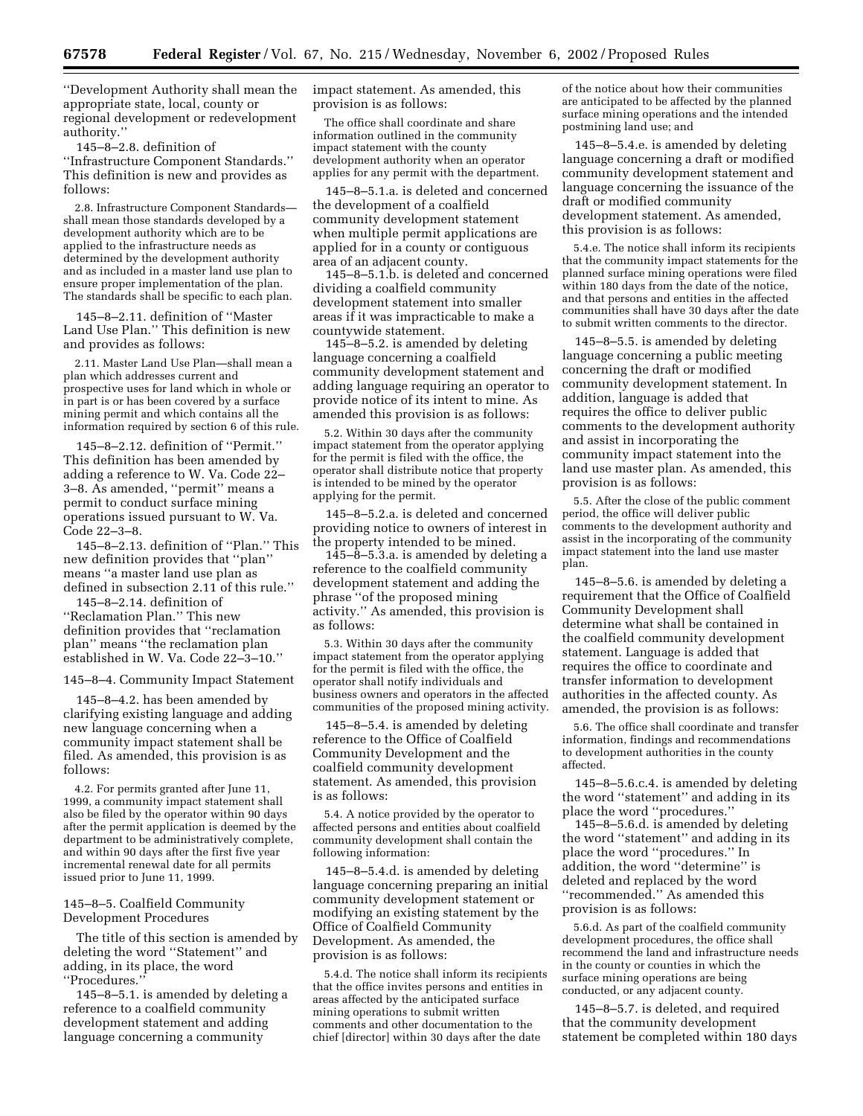''Development Authority shall mean the appropriate state, local, county or regional development or redevelopment authority.''

145–8–2.8. definition of ''Infrastructure Component Standards.'' This definition is new and provides as follows:

2.8. Infrastructure Component Standards shall mean those standards developed by a development authority which are to be applied to the infrastructure needs as determined by the development authority and as included in a master land use plan to ensure proper implementation of the plan. The standards shall be specific to each plan.

145–8–2.11. definition of ''Master Land Use Plan.'' This definition is new and provides as follows:

2.11. Master Land Use Plan—shall mean a plan which addresses current and prospective uses for land which in whole or in part is or has been covered by a surface mining permit and which contains all the information required by section 6 of this rule.

145–8–2.12. definition of ''Permit.'' This definition has been amended by adding a reference to W. Va. Code 22– 3–8. As amended, ''permit'' means a permit to conduct surface mining operations issued pursuant to W. Va. Code 22–3–8.

145–8–2.13. definition of ''Plan.'' This new definition provides that ''plan'' means ''a master land use plan as defined in subsection 2.11 of this rule.''

145–8–2.14. definition of ''Reclamation Plan.'' This new definition provides that ''reclamation plan'' means ''the reclamation plan established in W. Va. Code 22–3–10.''

145–8–4. Community Impact Statement

145–8–4.2. has been amended by clarifying existing language and adding new language concerning when a community impact statement shall be filed. As amended, this provision is as follows:

4.2. For permits granted after June 11, 1999, a community impact statement shall also be filed by the operator within 90 days after the permit application is deemed by the department to be administratively complete, and within 90 days after the first five year incremental renewal date for all permits issued prior to June 11, 1999.

### 145–8–5. Coalfield Community Development Procedures

The title of this section is amended by deleting the word ''Statement'' and adding, in its place, the word ''Procedures.''

145–8–5.1. is amended by deleting a reference to a coalfield community development statement and adding language concerning a community

impact statement. As amended, this provision is as follows:

The office shall coordinate and share information outlined in the community impact statement with the county development authority when an operator applies for any permit with the department.

145–8–5.1.a. is deleted and concerned the development of a coalfield community development statement when multiple permit applications are applied for in a county or contiguous area of an adjacent county.

145–8–5.1.b. is deleted and concerned dividing a coalfield community development statement into smaller areas if it was impracticable to make a countywide statement.

145–8–5.2. is amended by deleting language concerning a coalfield community development statement and adding language requiring an operator to provide notice of its intent to mine. As amended this provision is as follows:

5.2. Within 30 days after the community impact statement from the operator applying for the permit is filed with the office, the operator shall distribute notice that property is intended to be mined by the operator applying for the permit.

145–8–5.2.a. is deleted and concerned providing notice to owners of interest in the property intended to be mined.

 $145-\overline{8}-5.3$ .a. is amended by deleting a reference to the coalfield community development statement and adding the phrase ''of the proposed mining activity.'' As amended, this provision is as follows:

5.3. Within 30 days after the community impact statement from the operator applying for the permit is filed with the office, the operator shall notify individuals and business owners and operators in the affected communities of the proposed mining activity.

145–8–5.4. is amended by deleting reference to the Office of Coalfield Community Development and the coalfield community development statement. As amended, this provision is as follows:

5.4. A notice provided by the operator to affected persons and entities about coalfield community development shall contain the following information:

145–8–5.4.d. is amended by deleting language concerning preparing an initial community development statement or modifying an existing statement by the Office of Coalfield Community Development. As amended, the provision is as follows:

5.4.d. The notice shall inform its recipients that the office invites persons and entities in areas affected by the anticipated surface mining operations to submit written comments and other documentation to the chief [director] within 30 days after the date

of the notice about how their communities are anticipated to be affected by the planned surface mining operations and the intended postmining land use; and

145–8–5.4.e. is amended by deleting language concerning a draft or modified community development statement and language concerning the issuance of the draft or modified community development statement. As amended, this provision is as follows:

5.4.e. The notice shall inform its recipients that the community impact statements for the planned surface mining operations were filed within 180 days from the date of the notice, and that persons and entities in the affected communities shall have 30 days after the date to submit written comments to the director.

145–8–5.5. is amended by deleting language concerning a public meeting concerning the draft or modified community development statement. In addition, language is added that requires the office to deliver public comments to the development authority and assist in incorporating the community impact statement into the land use master plan. As amended, this provision is as follows:

5.5. After the close of the public comment period, the office will deliver public comments to the development authority and assist in the incorporating of the community impact statement into the land use master plan.

145–8–5.6. is amended by deleting a requirement that the Office of Coalfield Community Development shall determine what shall be contained in the coalfield community development statement. Language is added that requires the office to coordinate and transfer information to development authorities in the affected county. As amended, the provision is as follows:

5.6. The office shall coordinate and transfer information, findings and recommendations to development authorities in the county affected.

145–8–5.6.c.4. is amended by deleting the word ''statement'' and adding in its place the word ''procedures.''

145–8–5.6.d. is amended by deleting the word ''statement'' and adding in its place the word ''procedures.'' In addition, the word ''determine'' is deleted and replaced by the word ''recommended.'' As amended this provision is as follows:

5.6.d. As part of the coalfield community development procedures, the office shall recommend the land and infrastructure needs in the county or counties in which the surface mining operations are being conducted, or any adjacent county.

145–8–5.7. is deleted, and required that the community development statement be completed within 180 days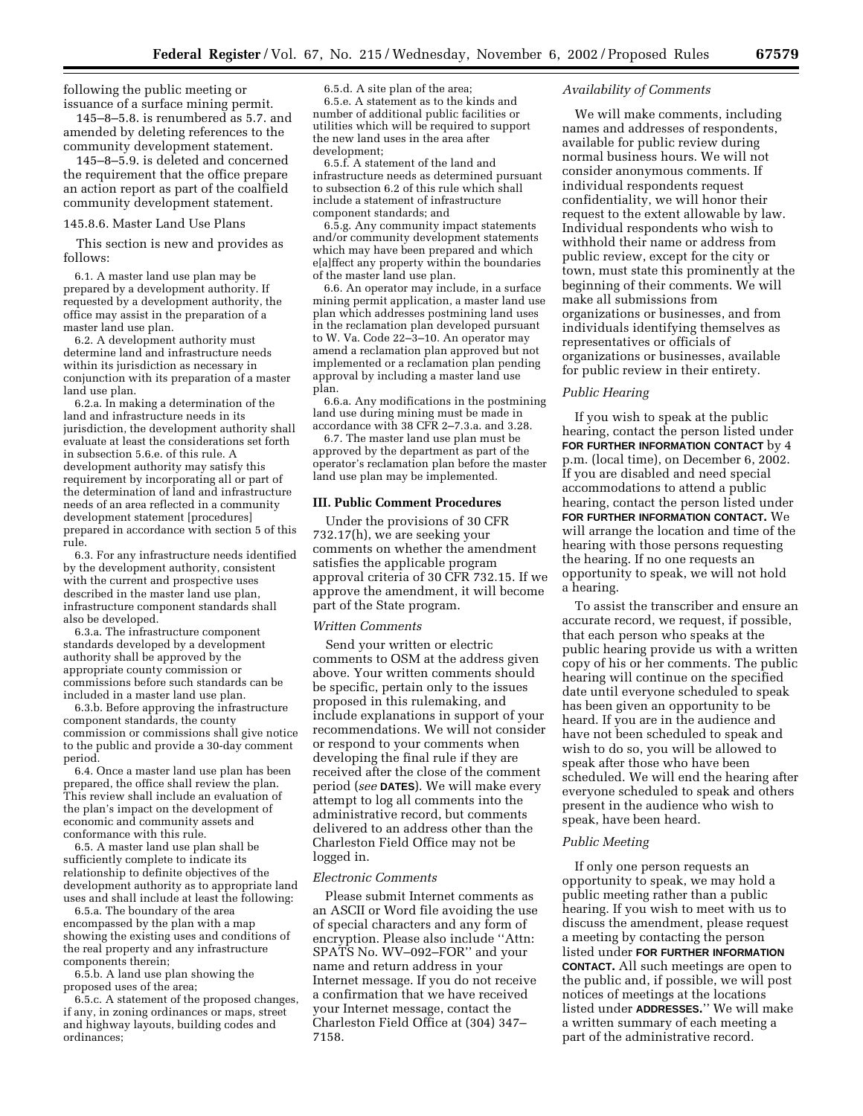following the public meeting or issuance of a surface mining permit.

145–8–5.8. is renumbered as 5.7. and amended by deleting references to the community development statement.

145–8–5.9. is deleted and concerned the requirement that the office prepare an action report as part of the coalfield community development statement.

### 145.8.6. Master Land Use Plans

This section is new and provides as follows:

6.1. A master land use plan may be prepared by a development authority. If requested by a development authority, the office may assist in the preparation of a master land use plan.

6.2. A development authority must determine land and infrastructure needs within its jurisdiction as necessary in conjunction with its preparation of a master land use plan.

6.2.a. In making a determination of the land and infrastructure needs in its jurisdiction, the development authority shall evaluate at least the considerations set forth in subsection 5.6.e. of this rule. A development authority may satisfy this requirement by incorporating all or part of the determination of land and infrastructure needs of an area reflected in a community development statement [procedures] prepared in accordance with section 5 of this rule.

6.3. For any infrastructure needs identified by the development authority, consistent with the current and prospective uses described in the master land use plan, infrastructure component standards shall also be developed.

6.3.a. The infrastructure component standards developed by a development authority shall be approved by the appropriate county commission or commissions before such standards can be included in a master land use plan.

6.3.b. Before approving the infrastructure component standards, the county commission or commissions shall give notice to the public and provide a 30-day comment period.

6.4. Once a master land use plan has been prepared, the office shall review the plan. This review shall include an evaluation of the plan's impact on the development of economic and community assets and conformance with this rule.

6.5. A master land use plan shall be sufficiently complete to indicate its relationship to definite objectives of the development authority as to appropriate land uses and shall include at least the following:

6.5.a. The boundary of the area encompassed by the plan with a map showing the existing uses and conditions of the real property and any infrastructure components therein;

6.5.b. A land use plan showing the proposed uses of the area;

6.5.c. A statement of the proposed changes, if any, in zoning ordinances or maps, street and highway layouts, building codes and ordinances;

6.5.d. A site plan of the area; 6.5.e. A statement as to the kinds and number of additional public facilities or utilities which will be required to support the new land uses in the area after development;

6.5.f. A statement of the land and infrastructure needs as determined pursuant to subsection 6.2 of this rule which shall include a statement of infrastructure component standards; and

6.5.g. Any community impact statements and/or community development statements which may have been prepared and which e[a]ffect any property within the boundaries of the master land use plan.

6.6. An operator may include, in a surface mining permit application, a master land use plan which addresses postmining land uses in the reclamation plan developed pursuant to W. Va. Code 22–3–10. An operator may amend a reclamation plan approved but not implemented or a reclamation plan pending approval by including a master land use plan.

6.6.a. Any modifications in the postmining land use during mining must be made in accordance with 38 CFR 2–7.3.a. and 3.28.

6.7. The master land use plan must be approved by the department as part of the operator's reclamation plan before the master land use plan may be implemented.

### **III. Public Comment Procedures**

Under the provisions of 30 CFR 732.17(h), we are seeking your comments on whether the amendment satisfies the applicable program approval criteria of 30 CFR 732.15. If we approve the amendment, it will become part of the State program.

#### *Written Comments*

Send your written or electric comments to OSM at the address given above. Your written comments should be specific, pertain only to the issues proposed in this rulemaking, and include explanations in support of your recommendations. We will not consider or respond to your comments when developing the final rule if they are received after the close of the comment period (*see* **DATES**). We will make every attempt to log all comments into the administrative record, but comments delivered to an address other than the Charleston Field Office may not be logged in.

### *Electronic Comments*

Please submit Internet comments as an ASCII or Word file avoiding the use of special characters and any form of encryption. Please also include ''Attn: SPATS No. WV–092–FOR'' and your name and return address in your Internet message. If you do not receive a confirmation that we have received your Internet message, contact the Charleston Field Office at (304) 347– 7158.

#### *Availability of Comments*

We will make comments, including names and addresses of respondents, available for public review during normal business hours. We will not consider anonymous comments. If individual respondents request confidentiality, we will honor their request to the extent allowable by law. Individual respondents who wish to withhold their name or address from public review, except for the city or town, must state this prominently at the beginning of their comments. We will make all submissions from organizations or businesses, and from individuals identifying themselves as representatives or officials of organizations or businesses, available for public review in their entirety.

## *Public Hearing*

If you wish to speak at the public hearing, contact the person listed under **FOR FURTHER INFORMATION CONTACT** by 4 p.m. (local time), on December 6, 2002. If you are disabled and need special accommodations to attend a public hearing, contact the person listed under **FOR FURTHER INFORMATION CONTACT.** We will arrange the location and time of the hearing with those persons requesting the hearing. If no one requests an opportunity to speak, we will not hold a hearing.

To assist the transcriber and ensure an accurate record, we request, if possible, that each person who speaks at the public hearing provide us with a written copy of his or her comments. The public hearing will continue on the specified date until everyone scheduled to speak has been given an opportunity to be heard. If you are in the audience and have not been scheduled to speak and wish to do so, you will be allowed to speak after those who have been scheduled. We will end the hearing after everyone scheduled to speak and others present in the audience who wish to speak, have been heard.

#### *Public Meeting*

If only one person requests an opportunity to speak, we may hold a public meeting rather than a public hearing. If you wish to meet with us to discuss the amendment, please request a meeting by contacting the person listed under **FOR FURTHER INFORMATION CONTACT.** All such meetings are open to the public and, if possible, we will post notices of meetings at the locations listed under **ADDRESSES.**'' We will make a written summary of each meeting a part of the administrative record.